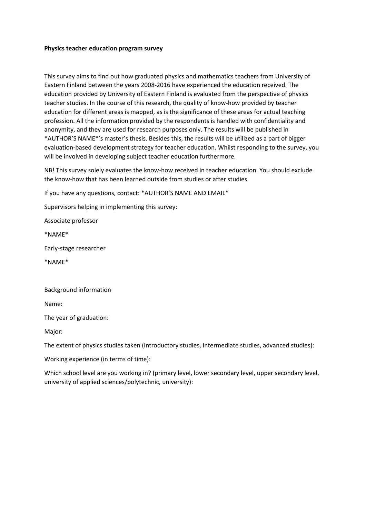## **Physics teacher education program survey**

This survey aims to find out how graduated physics and mathematics teachers from University of Eastern Finland between the years 2008-2016 have experienced the education received. The education provided by University of Eastern Finland is evaluated from the perspective of physics teacher studies. In the course of this research, the quality of know-how provided by teacher education for different areas is mapped, as is the significance of these areas for actual teaching profession. All the information provided by the respondents is handled with confidentiality and anonymity, and they are used for research purposes only. The results will be published in \*AUTHOR'S NAME\*'s master's thesis. Besides this, the results will be utilized as a part of bigger evaluation-based development strategy for teacher education. Whilst responding to the survey, you will be involved in developing subject teacher education furthermore.

NB! This survey solely evaluates the know-how received in teacher education. You should exclude the know-how that has been learned outside from studies or after studies.

If you have any questions, contact: \*AUTHOR'S NAME AND EMAIL\*

Supervisors helping in implementing this survey:

Associate professor

\*NAME\*

Early-stage researcher

\*NAME\*

Background information

Name:

The year of graduation:

Major:

The extent of physics studies taken (introductory studies, intermediate studies, advanced studies):

Working experience (in terms of time):

Which school level are you working in? (primary level, lower secondary level, upper secondary level, university of applied sciences/polytechnic, university):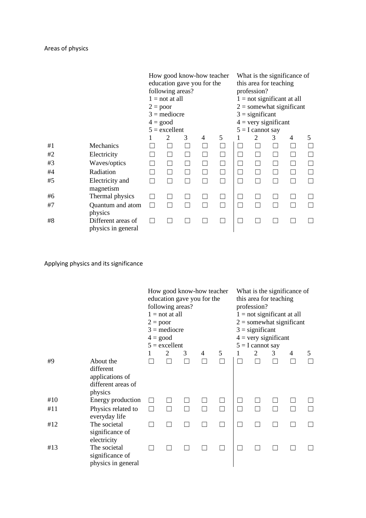|    |                                          | $2 = poor$<br>$4 = \text{good}$ | following areas?<br>$1 = not at all$<br>$3 =$ mediocre<br>$5 =$ excellent | How good know-how teacher<br>education gave you for the |   |        |              | this area for teaching<br>profession?<br>$3 =$ significant<br>$4 = \text{very significant}$<br>$5 = I$ cannot say |                | What is the significance of<br>$1 = not significant at all$<br>$2 =$ somewhat significant |  |
|----|------------------------------------------|---------------------------------|---------------------------------------------------------------------------|---------------------------------------------------------|---|--------|--------------|-------------------------------------------------------------------------------------------------------------------|----------------|-------------------------------------------------------------------------------------------|--|
|    |                                          |                                 | 2                                                                         | 3                                                       | 4 |        | 2            | 3                                                                                                                 | 4              | 5                                                                                         |  |
| #1 | Mechanics                                |                                 |                                                                           |                                                         |   |        |              |                                                                                                                   | П              |                                                                                           |  |
| #2 | Electricity                              |                                 |                                                                           | П                                                       |   | $\Box$ |              |                                                                                                                   | $\blacksquare$ | $\vert \ \ \vert$                                                                         |  |
| #3 | Waves/optics                             |                                 |                                                                           |                                                         |   | $\Box$ |              |                                                                                                                   | $\blacksquare$ | П                                                                                         |  |
| #4 | Radiation                                |                                 |                                                                           |                                                         |   | П      |              |                                                                                                                   | □              |                                                                                           |  |
| #5 | Electricity and<br>magnetism             |                                 |                                                                           |                                                         |   | П      | $\mathbf{I}$ |                                                                                                                   | ┓              |                                                                                           |  |
| #6 | Thermal physics                          |                                 |                                                                           |                                                         |   |        |              |                                                                                                                   |                |                                                                                           |  |
| #7 | Quantum and atom<br>physics              |                                 |                                                                           |                                                         |   |        | ┓            |                                                                                                                   |                |                                                                                           |  |
| #8 | Different areas of<br>physics in general |                                 |                                                                           |                                                         |   |        |              |                                                                                                                   |                |                                                                                           |  |

## Applying physics and its significance

|     |                                                                            | $2 = poor$ | How good know-how teacher<br>education gave you for the<br>following areas?<br>$1 = not at all$<br>$3 =$ mediocre<br>$4 = good$<br>$5 =$ excellent |   |   |   | What is the significance of<br>this area for teaching<br>profession?<br>$1 = not significant at all$<br>$2 =$ somewhat significant<br>$3 =$ significant<br>$4 = \text{very significant}$<br>$5 = I$ cannot say<br>5<br>2<br>3<br>4<br>П |  |  |  |  |  |  |
|-----|----------------------------------------------------------------------------|------------|----------------------------------------------------------------------------------------------------------------------------------------------------|---|---|---|-----------------------------------------------------------------------------------------------------------------------------------------------------------------------------------------------------------------------------------------|--|--|--|--|--|--|
|     |                                                                            | 1          | 2                                                                                                                                                  | 3 | 4 | 5 |                                                                                                                                                                                                                                         |  |  |  |  |  |  |
| #9  | About the<br>different<br>applications of<br>different areas of<br>physics |            |                                                                                                                                                    |   |   |   |                                                                                                                                                                                                                                         |  |  |  |  |  |  |
| #10 | Energy production                                                          |            |                                                                                                                                                    |   |   |   |                                                                                                                                                                                                                                         |  |  |  |  |  |  |
| #11 | Physics related to<br>everyday life                                        |            |                                                                                                                                                    |   |   | П | П                                                                                                                                                                                                                                       |  |  |  |  |  |  |
| #12 | The societal<br>significance of<br>electricity                             |            |                                                                                                                                                    |   |   |   |                                                                                                                                                                                                                                         |  |  |  |  |  |  |
| #13 | The societal<br>significance of<br>physics in general                      |            |                                                                                                                                                    |   |   |   |                                                                                                                                                                                                                                         |  |  |  |  |  |  |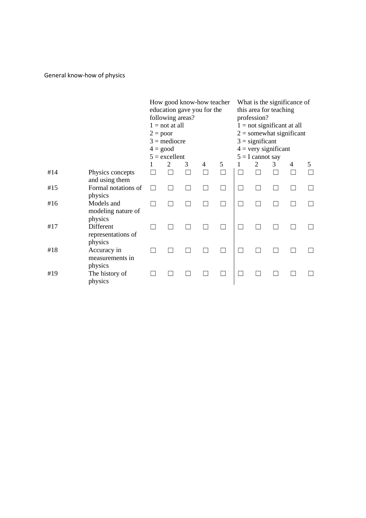General know-how of physics

|     |                                             | $2 = poor$<br>$4 = \text{good}$ | following areas?<br>$1 = not at all$<br>$3 =$ mediocre<br>$5 =$ excellent |   | How good know-how teacher<br>education gave you for the |   | What is the significance of<br>this area for teaching<br>profession?<br>$1 = not significant at all$<br>$2 =$ somewhat significant<br>$3 =$ significant<br>$4 = \text{very significant}$<br>$5 = I$ cannot say |   |   |   |
|-----|---------------------------------------------|---------------------------------|---------------------------------------------------------------------------|---|---------------------------------------------------------|---|----------------------------------------------------------------------------------------------------------------------------------------------------------------------------------------------------------------|---|---|---|
|     |                                             |                                 | $\overline{c}$                                                            | 3 | 4                                                       | 5 | 2                                                                                                                                                                                                              | 3 | 4 | 5 |
| #14 | Physics concepts<br>and using them          |                                 |                                                                           |   |                                                         |   |                                                                                                                                                                                                                |   |   |   |
| #15 | Formal notations of<br>physics              |                                 |                                                                           |   |                                                         |   |                                                                                                                                                                                                                |   |   |   |
| #16 | Models and<br>modeling nature of<br>physics |                                 |                                                                           |   |                                                         |   |                                                                                                                                                                                                                |   |   |   |
| #17 | Different<br>representations of<br>physics  |                                 |                                                                           |   |                                                         |   |                                                                                                                                                                                                                |   |   |   |
| #18 | Accuracy in<br>measurements in<br>physics   |                                 |                                                                           |   |                                                         |   |                                                                                                                                                                                                                |   |   |   |
| #19 | The history of<br>physics                   |                                 |                                                                           |   |                                                         |   |                                                                                                                                                                                                                |   |   |   |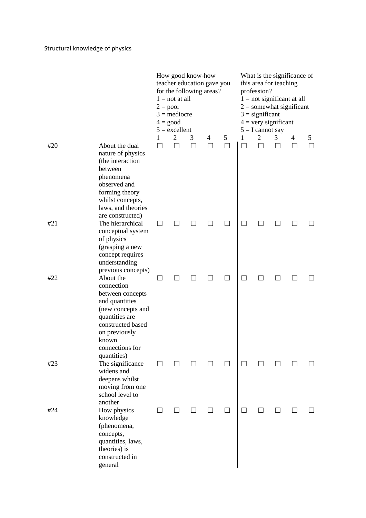|     |                                                                                                                                                                                       | $2 = poor$     | $1 = not at all$<br>$3 =$ mediocre<br>$4 = good$<br>$5 =$ excellent | How good know-how | teacher education gave you<br>for the following areas? | What is the significance of<br>this area for teaching<br>profession?<br>$1 = not significant at all$<br>$2 =$ somewhat significant<br>$3 =$ significant<br>$4 = very significant$<br>$5 = I$ cannot say |                   |              |   |          |                   |
|-----|---------------------------------------------------------------------------------------------------------------------------------------------------------------------------------------|----------------|---------------------------------------------------------------------|-------------------|--------------------------------------------------------|---------------------------------------------------------------------------------------------------------------------------------------------------------------------------------------------------------|-------------------|--------------|---|----------|-------------------|
|     |                                                                                                                                                                                       | 1              | 2                                                                   | 3                 | 4                                                      | 5                                                                                                                                                                                                       | 1                 | 2            | 3 | 4        | 5                 |
| #20 | About the dual<br>nature of physics<br>(the interaction<br>between<br>phenomena<br>observed and<br>forming theory<br>whilst concepts,<br>laws, and theories<br>are constructed)       | $\blacksquare$ |                                                                     |                   | П                                                      | ſΙ                                                                                                                                                                                                      | $\vert \ \ \vert$ | $\mathsf{L}$ |   | $\lceil$ | $\vert \ \ \vert$ |
| #21 | The hierarchical<br>conceptual system<br>of physics<br>(grasping a new<br>concept requires<br>understanding<br>previous concepts)                                                     | $\blacksquare$ |                                                                     |                   |                                                        |                                                                                                                                                                                                         |                   |              |   |          |                   |
| #22 | About the<br>connection<br>between concepts<br>and quantities<br>(new concepts and<br>quantities are<br>constructed based<br>on previously<br>known<br>connections for<br>quantities) |                |                                                                     |                   |                                                        |                                                                                                                                                                                                         |                   |              |   |          |                   |
| #23 | The significance<br>widens and<br>deepens whilst<br>moving from one<br>school level to<br>another                                                                                     |                |                                                                     |                   |                                                        |                                                                                                                                                                                                         |                   |              |   |          |                   |
| #24 | How physics<br>knowledge<br>(phenomena,<br>concepts,<br>quantities, laws,<br>theories) is<br>constructed in<br>general                                                                |                |                                                                     |                   |                                                        |                                                                                                                                                                                                         | $\vert \ \ \vert$ |              |   |          |                   |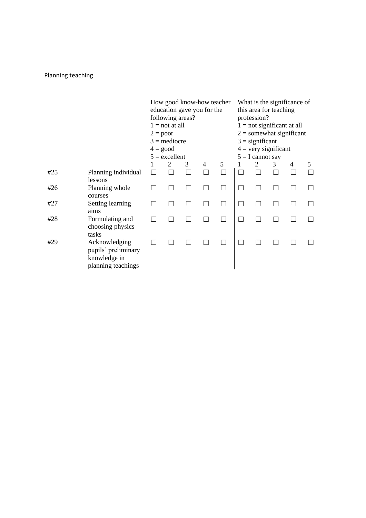## Planning teaching

|     |                                                                            | $2 = poor$ | following areas?<br>$1 = not at all$<br>$3 =$ mediocre<br>$4 = \text{good}$<br>$5 =$ excellent | education gave you for the |   | How good know-how teacher | What is the significance of<br>this area for teaching<br>profession?<br>$1 = not significant at all$<br>$2 =$ somewhat significant<br>$3 =$ significant<br>$4 = \text{very significant}$<br>$5 = I$ cannot say<br>2<br>3<br>4<br>5 |  |  |  |  |  |  |
|-----|----------------------------------------------------------------------------|------------|------------------------------------------------------------------------------------------------|----------------------------|---|---------------------------|------------------------------------------------------------------------------------------------------------------------------------------------------------------------------------------------------------------------------------|--|--|--|--|--|--|
|     |                                                                            |            | 2                                                                                              | 3                          | 4 |                           |                                                                                                                                                                                                                                    |  |  |  |  |  |  |
| #25 | Planning individual                                                        |            |                                                                                                |                            |   |                           |                                                                                                                                                                                                                                    |  |  |  |  |  |  |
|     | lessons                                                                    |            |                                                                                                |                            |   |                           |                                                                                                                                                                                                                                    |  |  |  |  |  |  |
| #26 | Planning whole                                                             |            |                                                                                                |                            |   |                           |                                                                                                                                                                                                                                    |  |  |  |  |  |  |
|     | courses                                                                    |            |                                                                                                |                            |   |                           |                                                                                                                                                                                                                                    |  |  |  |  |  |  |
| #27 | Setting learning<br>aims                                                   |            |                                                                                                |                            |   |                           |                                                                                                                                                                                                                                    |  |  |  |  |  |  |
| #28 | Formulating and<br>choosing physics                                        |            |                                                                                                |                            |   |                           |                                                                                                                                                                                                                                    |  |  |  |  |  |  |
|     | tasks                                                                      |            |                                                                                                |                            |   |                           |                                                                                                                                                                                                                                    |  |  |  |  |  |  |
| #29 | Acknowledging<br>pupils' preliminary<br>knowledge in<br>planning teachings |            |                                                                                                |                            |   |                           |                                                                                                                                                                                                                                    |  |  |  |  |  |  |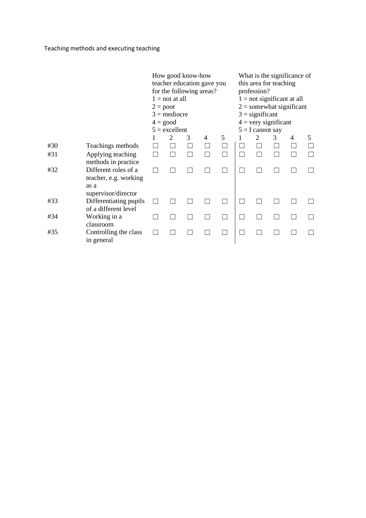Teaching methods and executing teaching

|     |                                                                              | $2 = poor$<br>$4 = \text{good}$ | $1 = not at all$<br>$3 =$ mediocre<br>$5 =$ excellent | How good know-how | teacher education gave you<br>for the following areas? |   | this area for teaching<br>profession?<br>$3 =$ significant<br>$4 = very significant$<br>$5 = I$ cannot say |   | What is the significance of<br>$1 = not significant at all$<br>$2 =$ somewhat significant |   |
|-----|------------------------------------------------------------------------------|---------------------------------|-------------------------------------------------------|-------------------|--------------------------------------------------------|---|------------------------------------------------------------------------------------------------------------|---|-------------------------------------------------------------------------------------------|---|
|     |                                                                              |                                 | $\overline{2}$                                        | 3                 | 4                                                      | 5 | 2                                                                                                          | 3 | 4                                                                                         | 5 |
| #30 | Teachings methods                                                            |                                 |                                                       |                   |                                                        |   |                                                                                                            |   |                                                                                           |   |
| #31 | Applying teaching<br>methods in practice.                                    |                                 |                                                       |                   |                                                        |   |                                                                                                            |   |                                                                                           |   |
| #32 | Different roles of a<br>teacher, e.g. working<br>as a<br>supervisor/director |                                 |                                                       |                   |                                                        |   |                                                                                                            |   |                                                                                           |   |
| #33 | Differentiating pupils<br>of a different level                               |                                 |                                                       |                   |                                                        |   |                                                                                                            |   |                                                                                           |   |
| #34 | Working in a<br>classroom                                                    |                                 |                                                       |                   |                                                        |   |                                                                                                            |   |                                                                                           |   |
| #35 | Controlling the class<br>in general                                          |                                 |                                                       |                   |                                                        |   |                                                                                                            |   |                                                                                           |   |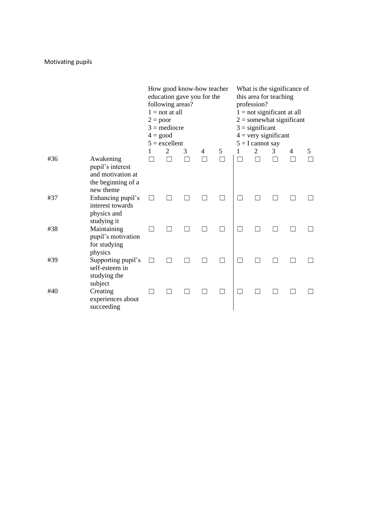|     |                                                                                       | $2 = poor$<br>$4 = \text{good}$ | following areas?<br>$1 = not at all$<br>$3 =$ mediocre<br>$5 =$ excellent |   | How good know-how teacher<br>education gave you for the |   |   | What is the significance of<br>this area for teaching<br>profession?<br>$1 = not significant at all$<br>$2 =$ somewhat significant<br>$3 =$ significant<br>$4 = \text{very significant}$<br>$5 = I$ cannot say |   |   |   |
|-----|---------------------------------------------------------------------------------------|---------------------------------|---------------------------------------------------------------------------|---|---------------------------------------------------------|---|---|----------------------------------------------------------------------------------------------------------------------------------------------------------------------------------------------------------------|---|---|---|
|     |                                                                                       |                                 | 2                                                                         | 3 | 4                                                       | 5 | 1 | 2                                                                                                                                                                                                              | 3 | 4 | 5 |
| #36 | Awakening<br>pupil's interest<br>and motivation at<br>the beginning of a<br>new theme |                                 |                                                                           |   |                                                         |   |   |                                                                                                                                                                                                                |   |   |   |
| #37 | Enhancing pupil's<br>interest towards<br>physics and<br>studying it                   |                                 |                                                                           |   |                                                         |   |   |                                                                                                                                                                                                                |   |   |   |
| #38 | Maintaining<br>pupil's motivation<br>for studying<br>physics                          |                                 |                                                                           |   |                                                         |   |   |                                                                                                                                                                                                                |   |   |   |
| #39 | Supporting pupil's<br>self-esteem in<br>studying the<br>subject                       |                                 |                                                                           |   |                                                         |   |   |                                                                                                                                                                                                                |   |   |   |
| #40 | Creating<br>experiences about<br>succeeding                                           |                                 |                                                                           |   |                                                         |   |   |                                                                                                                                                                                                                |   |   |   |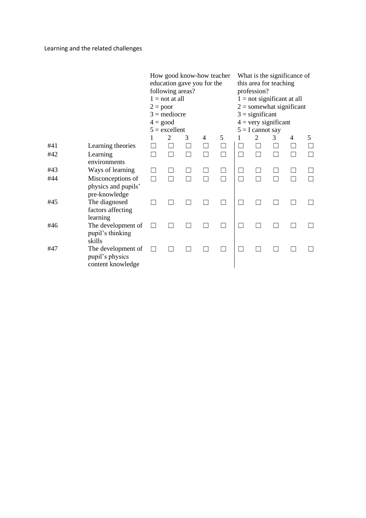|     |                                                            |   | following areas?<br>$1 = not at all$<br>$2 = poor$<br>$3 =$ mediocre<br>$4 = good$<br>$5 =$ excellent | How good know-how teacher<br>education gave you for the |   |   | What is the significance of<br>this area for teaching<br>profession?<br>$1 = not significant at all$<br>$2 =$ somewhat significant<br>$3 =$ significant<br>$4 = \text{very significant}$<br>$5 = I$ cannot say<br>2<br>3<br>5<br>4 |  |   |  |   |  |  |  |
|-----|------------------------------------------------------------|---|-------------------------------------------------------------------------------------------------------|---------------------------------------------------------|---|---|------------------------------------------------------------------------------------------------------------------------------------------------------------------------------------------------------------------------------------|--|---|--|---|--|--|--|
|     |                                                            |   | 2                                                                                                     | 3                                                       | 4 | 5 |                                                                                                                                                                                                                                    |  |   |  |   |  |  |  |
| #41 | Learning theories                                          |   |                                                                                                       |                                                         |   |   |                                                                                                                                                                                                                                    |  |   |  | П |  |  |  |
| #42 | Learning<br>environments                                   |   |                                                                                                       |                                                         |   |   | Г                                                                                                                                                                                                                                  |  | П |  |   |  |  |  |
| #43 | Ways of learning                                           |   |                                                                                                       |                                                         |   |   |                                                                                                                                                                                                                                    |  |   |  |   |  |  |  |
| #44 | Misconceptions of<br>physics and pupils'<br>pre-knowledge  | П |                                                                                                       |                                                         |   |   | П                                                                                                                                                                                                                                  |  |   |  |   |  |  |  |
| #45 | The diagnosed<br>factors affecting<br>learning             |   |                                                                                                       |                                                         |   |   |                                                                                                                                                                                                                                    |  |   |  |   |  |  |  |
| #46 | The development of<br>pupil's thinking<br>skills           |   |                                                                                                       |                                                         |   |   |                                                                                                                                                                                                                                    |  |   |  |   |  |  |  |
| #47 | The development of<br>pupil's physics<br>content knowledge |   |                                                                                                       |                                                         |   |   |                                                                                                                                                                                                                                    |  |   |  |   |  |  |  |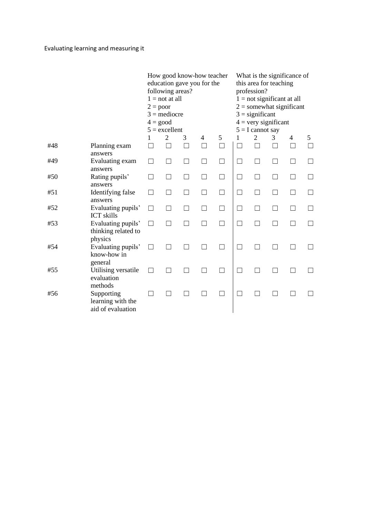|     |                                                      | $2 = poor$<br>$4 = good$ | following areas?<br>$1 = not at all$<br>$3 =$ mediocre<br>$5 =$ excellent | How good know-how teacher<br>education gave you for the |        |        |        | What is the significance of<br>this area for teaching<br>profession?<br>$1 = not significant at all$<br>$2 =$ somewhat significant<br>$3 =$ significant<br>$4 = \text{very significant}$<br>$5 = I$ cannot say |        |   |        |
|-----|------------------------------------------------------|--------------------------|---------------------------------------------------------------------------|---------------------------------------------------------|--------|--------|--------|----------------------------------------------------------------------------------------------------------------------------------------------------------------------------------------------------------------|--------|---|--------|
|     |                                                      | 1                        | $\overline{2}$                                                            | 3                                                       | 4      | 5      | 1      | $\overline{2}$                                                                                                                                                                                                 | 3      | 4 | 5      |
| #48 | Planning exam<br>answers                             |                          | П                                                                         | П                                                       | $\Box$ | $\Box$ | $\Box$ | П                                                                                                                                                                                                              | П      | П | П      |
| #49 | Evaluating exam<br>answers                           |                          |                                                                           | $\mathcal{L}$                                           | П      |        | П      |                                                                                                                                                                                                                | $\Box$ |   |        |
| #50 | Rating pupils'<br>answers                            |                          |                                                                           |                                                         | П      | П      | П      |                                                                                                                                                                                                                | □      |   | П      |
| #51 | Identifying false<br>answers                         | П                        | $\Box$                                                                    | П                                                       | $\Box$ | П      | $\Box$ |                                                                                                                                                                                                                | П      |   | $\Box$ |
| #52 | Evaluating pupils'<br><b>ICT</b> skills              | П                        | ٦                                                                         | ┐                                                       | ┑      | □      | $\Box$ |                                                                                                                                                                                                                | П      |   | П      |
| #53 | Evaluating pupils'<br>thinking related to<br>physics |                          |                                                                           |                                                         |        |        |        |                                                                                                                                                                                                                |        |   |        |
| #54 | Evaluating pupils'<br>know-how in<br>general         |                          |                                                                           |                                                         |        |        | П      |                                                                                                                                                                                                                |        |   |        |
| #55 | Utilising versatile<br>evaluation<br>methods         |                          |                                                                           |                                                         |        |        |        |                                                                                                                                                                                                                |        |   |        |
| #56 | Supporting<br>learning with the<br>aid of evaluation |                          |                                                                           |                                                         |        |        |        |                                                                                                                                                                                                                |        |   |        |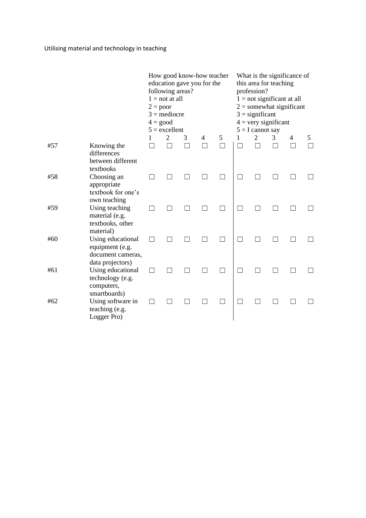|     |                                                                               | $2 = poor$ | following areas?<br>$1 = not at all$<br>$3 =$ mediocre<br>$4 = \text{good}$<br>$5 =$ excellent |   | How good know-how teacher<br>education gave you for the |   | What is the significance of<br>this area for teaching<br>profession?<br>$1 = not significant at all$<br>$2 =$ somewhat significant<br>$3 =$ significant<br>$4 = \text{very significant}$<br>$5 = I$ cannot say<br>$\overline{2}$<br>3<br>5<br>1<br>4 |  |  |  |  |  |  |
|-----|-------------------------------------------------------------------------------|------------|------------------------------------------------------------------------------------------------|---|---------------------------------------------------------|---|------------------------------------------------------------------------------------------------------------------------------------------------------------------------------------------------------------------------------------------------------|--|--|--|--|--|--|
|     |                                                                               | 1          | $\overline{2}$                                                                                 | 3 | 4                                                       | 5 |                                                                                                                                                                                                                                                      |  |  |  |  |  |  |
| #57 | Knowing the<br>differences<br>between different<br>textbooks                  |            |                                                                                                |   |                                                         |   |                                                                                                                                                                                                                                                      |  |  |  |  |  |  |
| #58 | Choosing an<br>appropriate<br>textbook for one's<br>own teaching              |            |                                                                                                |   |                                                         |   | $\Box$                                                                                                                                                                                                                                               |  |  |  |  |  |  |
| #59 | Using teaching<br>material (e.g.<br>textbooks, other<br>material)             |            |                                                                                                |   |                                                         |   |                                                                                                                                                                                                                                                      |  |  |  |  |  |  |
| #60 | Using educational<br>equipment (e.g.<br>document cameras,<br>data projectors) |            |                                                                                                |   |                                                         |   |                                                                                                                                                                                                                                                      |  |  |  |  |  |  |
| #61 | Using educational<br>technology (e.g.<br>computers,<br>smartboards)           |            |                                                                                                |   |                                                         |   | $\Box$                                                                                                                                                                                                                                               |  |  |  |  |  |  |
| #62 | Using software in<br>teaching (e.g.<br>Logger Pro)                            |            |                                                                                                |   |                                                         |   |                                                                                                                                                                                                                                                      |  |  |  |  |  |  |